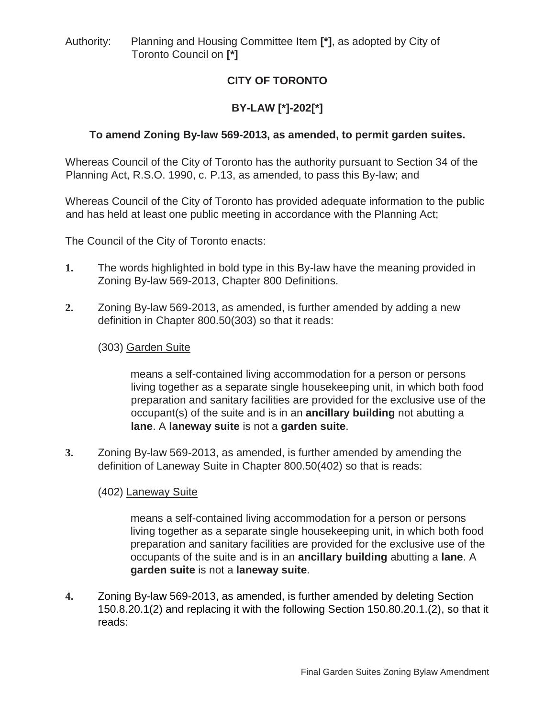Authority: Planning and Housing Committee Item **[\*]**, as adopted by City of Toronto Council on **[\*]**

# **CITY OF TORONTO**

# **BY-LAW [\*]-202[\*]**

# **To amend Zoning By-law 569-2013, as amended, to permit garden suites.**

Whereas Council of the City of Toronto has the authority pursuant to Section 34 of the Planning Act, R.S.O. 1990, c. P.13, as amended, to pass this By-law; and

Whereas Council of the City of Toronto has provided adequate information to the public and has held at least one public meeting in accordance with the Planning Act;

The Council of the City of Toronto enacts:

- **1.** The words highlighted in bold type in this By-law have the meaning provided in Zoning By-law 569-2013, Chapter 800 Definitions.
- **2.** Zoning By-law 569-2013, as amended, is further amended by adding a new definition in Chapter 800.50(303) so that it reads:

### (303) Garden Suite

means a self-contained living accommodation for a person or persons living together as a separate single housekeeping unit, in which both food preparation and sanitary facilities are provided for the exclusive use of the occupant(s) of the suite and is in an **ancillary building** not abutting a **lane**. A **laneway suite** is not a **garden suite**.

**3.** Zoning By-law 569-2013, as amended, is further amended by amending the definition of Laneway Suite in Chapter 800.50(402) so that is reads:

### (402) Laneway Suite

means a self-contained living accommodation for a person or persons living together as a separate single housekeeping unit, in which both food preparation and sanitary facilities are provided for the exclusive use of the occupants of the suite and is in an **ancillary building** abutting a **lane**. A **garden suite** is not a **laneway suite**.

**4.** Zoning By-law 569-2013, as amended, is further amended by deleting Section 150.8.20.1(2) and replacing it with the following Section 150.80.20.1.(2), so that it reads: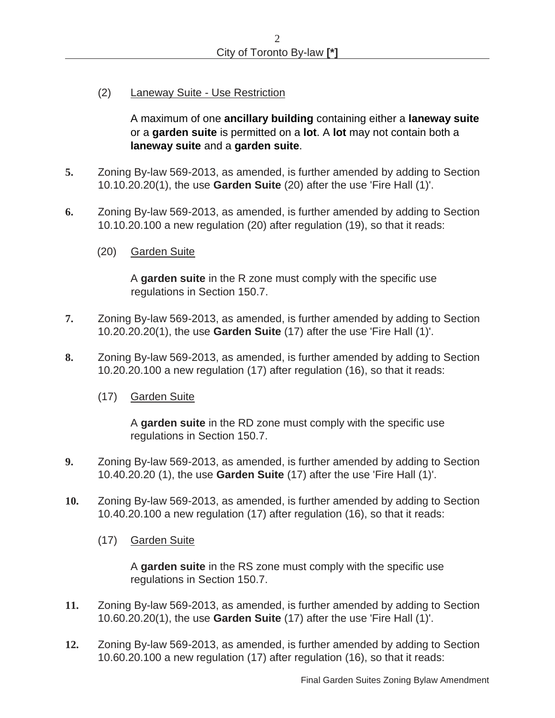(2) Laneway Suite - Use Restriction

A maximum of one **ancillary building** containing either a **laneway suite** or a **garden suite** is permitted on a **lot**. A **lot** may not contain both a **laneway suite** and a **garden suite**.

- **5.** Zoning By-law 569-2013, as amended, is further amended by adding to Section 10.10.20.20(1), the use **Garden Suite** (20) after the use 'Fire Hall (1)'.
- **6.** Zoning By-law 569-2013, as amended, is further amended by adding to Section 10.10.20.100 a new regulation (20) after regulation (19), so that it reads:
	- (20) Garden Suite

A **garden suite** in the R zone must comply with the specific use regulations in Section 150.7.

- **7.** Zoning By-law 569-2013, as amended, is further amended by adding to Section 10.20.20.20(1), the use **Garden Suite** (17) after the use 'Fire Hall (1)'.
- **8.** Zoning By-law 569-2013, as amended, is further amended by adding to Section 10.20.20.100 a new regulation (17) after regulation (16), so that it reads:
	- (17) Garden Suite

A **garden suite** in the RD zone must comply with the specific use regulations in Section 150.7.

- **9.** Zoning By-law 569-2013, as amended, is further amended by adding to Section 10.40.20.20 (1), the use **Garden Suite** (17) after the use 'Fire Hall (1)'.
- **10.** Zoning By-law 569-2013, as amended, is further amended by adding to Section 10.40.20.100 a new regulation (17) after regulation (16), so that it reads:
	- (17) Garden Suite

A **garden suite** in the RS zone must comply with the specific use regulations in Section 150.7.

- **11.** Zoning By-law 569-2013, as amended, is further amended by adding to Section 10.60.20.20(1), the use **Garden Suite** (17) after the use 'Fire Hall (1)'.
- **12.** Zoning By-law 569-2013, as amended, is further amended by adding to Section 10.60.20.100 a new regulation (17) after regulation (16), so that it reads: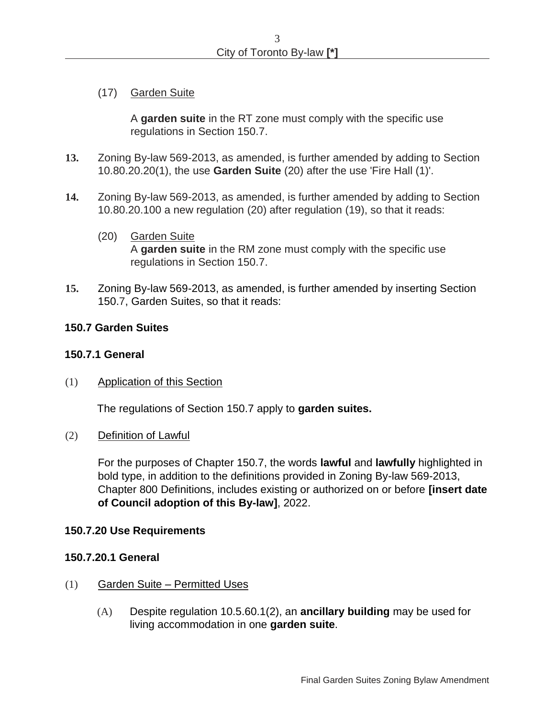(17) Garden Suite

A **garden suite** in the RT zone must comply with the specific use regulations in Section 150.7.

- **13.** Zoning By-law 569-2013, as amended, is further amended by adding to Section 10.80.20.20(1), the use **Garden Suite** (20) after the use 'Fire Hall (1)'.
- **14.** Zoning By-law 569-2013, as amended, is further amended by adding to Section 10.80.20.100 a new regulation (20) after regulation (19), so that it reads:
	- (20) Garden Suite A **garden suite** in the RM zone must comply with the specific use regulations in Section 150.7.
- **15.** Zoning By-law 569-2013, as amended, is further amended by inserting Section 150.7, Garden Suites, so that it reads:

#### **150.7 Garden Suites**

#### **150.7.1 General**

(1) Application of this Section

The regulations of Section 150.7 apply to **garden suites.** 

(2) Definition of Lawful

For the purposes of Chapter 150.7, the words **lawful** and **lawfully** highlighted in bold type, in addition to the definitions provided in Zoning By-law 569-2013, Chapter 800 Definitions, includes existing or authorized on or before **[insert date of Council adoption of this By-law]**, 2022.

#### **150.7.20 Use Requirements**

#### **150.7.20.1 General**

- (1) Garden Suite Permitted Uses
	- (A) Despite regulation 10.5.60.1(2), an **ancillary building** may be used for living accommodation in one **garden suite**.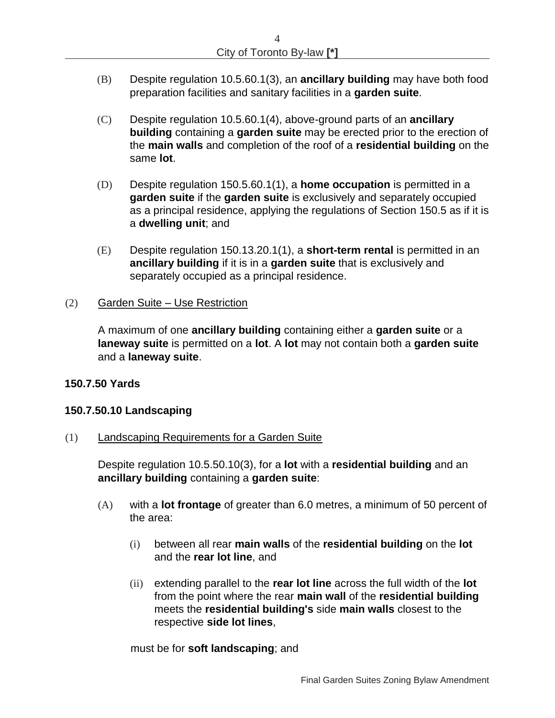- (B) Despite regulation 10.5.60.1(3), an **ancillary building** may have both food preparation facilities and sanitary facilities in a **garden suite**.
- (C) Despite regulation 10.5.60.1(4), above-ground parts of an **ancillary building** containing a **garden suite** may be erected prior to the erection of the **main walls** and completion of the roof of a **residential building** on the same **lot**.
- (D) Despite regulation 150.5.60.1(1), a **home occupation** is permitted in a **garden suite** if the **garden suite** is exclusively and separately occupied as a principal residence, applying the regulations of Section 150.5 as if it is a **dwelling unit**; and
- (E) Despite regulation 150.13.20.1(1), a **short-term rental** is permitted in an **ancillary building** if it is in a **garden suite** that is exclusively and separately occupied as a principal residence.

### (2) Garden Suite – Use Restriction

A maximum of one **ancillary building** containing either a **garden suite** or a **laneway suite** is permitted on a **lot**. A **lot** may not contain both a **garden suite** and a **laneway suite**.

### **150.7.50 Yards**

### **150.7.50.10 Landscaping**

(1) Landscaping Requirements for a Garden Suite

Despite regulation 10.5.50.10(3), for a **lot** with a **residential building** and an **ancillary building** containing a **garden suite**:

- (A) with a **lot frontage** of greater than 6.0 metres, a minimum of 50 percent of the area:
	- (i) between all rear **main walls** of the **residential building** on the **lot**  and the **rear lot line**, and
	- (ii) extending parallel to the **rear lot line** across the full width of the **lot** from the point where the rear **main wall** of the **residential building** meets the **residential building's** side **main walls** closest to the respective **side lot lines**,

must be for **soft landscaping**; and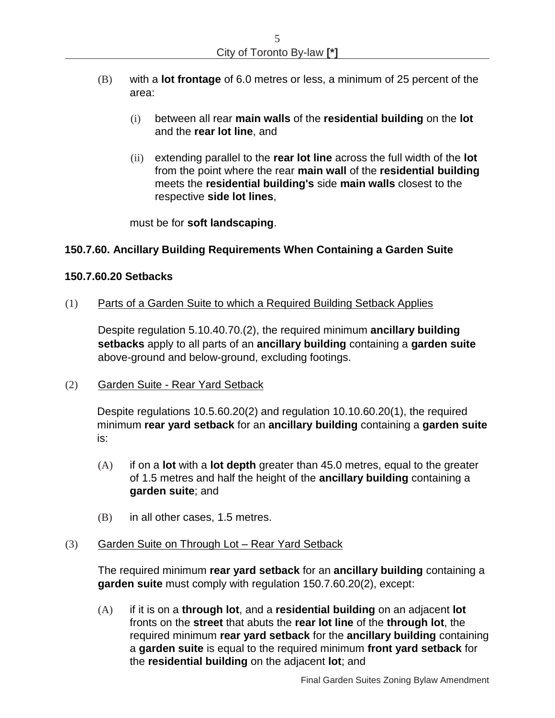- (B) with a **lot frontage** of 6.0 metres or less, a minimum of 25 percent of the area:
	- (i) between all rear **main walls** of the **residential building** on the **lot**  and the **rear lot line**, and
	- (ii) extending parallel to the **rear lot line** across the full width of the **lot** from the point where the rear **main wall** of the **residential building** meets the **residential building's** side **main walls** closest to the respective **side lot lines**,

must be for **soft landscaping**.

## **150.7.60. Ancillary Building Requirements When Containing a Garden Suite**

### **150.7.60.20 Setbacks**

(1) Parts of a Garden Suite to which a Required Building Setback Applies

Despite regulation 5.10.40.70.(2), the required minimum **ancillary building setbacks** apply to all parts of an **ancillary building** containing a **garden suite** above-ground and below-ground, excluding footings.

(2) Garden Suite - Rear Yard Setback

Despite regulations 10.5.60.20(2) and regulation 10.10.60.20(1), the required minimum **rear yard setback** for an **ancillary building** containing a **garden suite** is:

- (A) if on a **lot** with a **lot depth** greater than 45.0 metres, equal to the greater of 1.5 metres and half the height of the **ancillary building** containing a **garden suite**; and
- (B) in all other cases, 1.5 metres.

#### <span id="page-4-0"></span>(3) Garden Suite on Through Lot – Rear Yard Setback

The required minimum **rear yard setback** for an **ancillary building** containing a **garden suite** must comply with regulation 150.7.60.20(2), except:

<span id="page-4-1"></span>(A) if it is on a **through lot**, and a **residential building** on an adjacent **lot** fronts on the **street** that abuts the **rear lot line** of the **through lot**, the required minimum **rear yard setback** for the **ancillary building** containing a **garden suite** is equal to the required minimum **front yard setback** for the **residential building** on the adjacent **lot**; and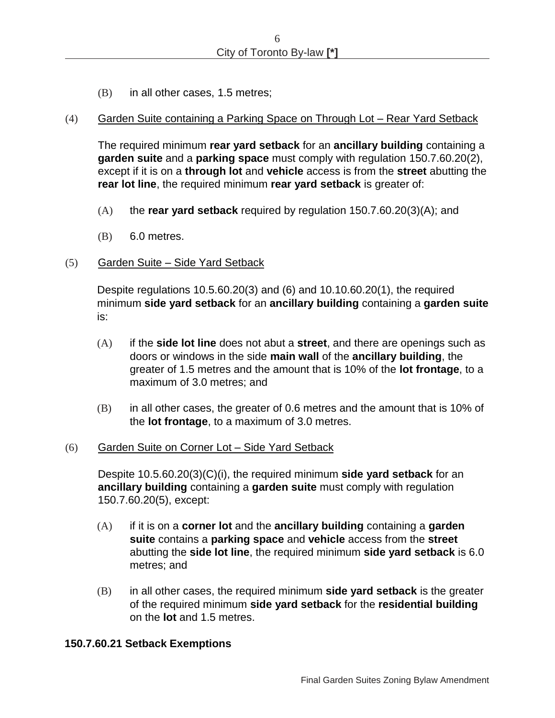(B) in all other cases, 1.5 metres;

#### (4) Garden Suite containing a Parking Space on Through Lot – Rear Yard Setback

The required minimum **rear yard setback** for an **ancillary building** containing a **garden suite** and a **parking space** must comply with regulation 150.7.60.20(2), except if it is on a **through lot** and **vehicle** access is from the **street** abutting the **rear lot line**, the required minimum **rear yard setback** is greater of:

- (A) the **rear yard setback** required by regulation 150.7.60.2[0\(3\)](#page-4-0)[\(A\);](#page-4-1) and
- (B) 6.0 metres.

#### (5) Garden Suite – Side Yard Setback

Despite regulations 10.5.60.20(3) and (6) and 10.10.60.20(1), the required minimum **side yard setback** for an **ancillary building** containing a **garden suite** is:

- (A) if the **side lot line** does not abut a **street**, and there are openings such as doors or windows in the side **main wall** of the **ancillary building**, the greater of 1.5 metres and the amount that is 10% of the **lot frontage**, to a maximum of 3.0 metres; and
- (B) in all other cases, the greater of 0.6 metres and the amount that is 10% of the **lot frontage**, to a maximum of 3.0 metres.

#### (6) Garden Suite on Corner Lot – Side Yard Setback

Despite 10.5.60.20(3)(C)(i), the required minimum **side yard setback** for an **ancillary building** containing a **garden suite** must comply with regulation 150.7.60.20(5), except:

- (A) if it is on a **corner lot** and the **ancillary building** containing a **garden suite** contains a **parking space** and **vehicle** access from the **street** abutting the **side lot line**, the required minimum **side yard setback** is 6.0 metres; and
- (B) in all other cases, the required minimum **side yard setback** is the greater of the required minimum **side yard setback** for the **residential building**  on the **lot** and 1.5 metres.

#### **150.7.60.21 Setback Exemptions**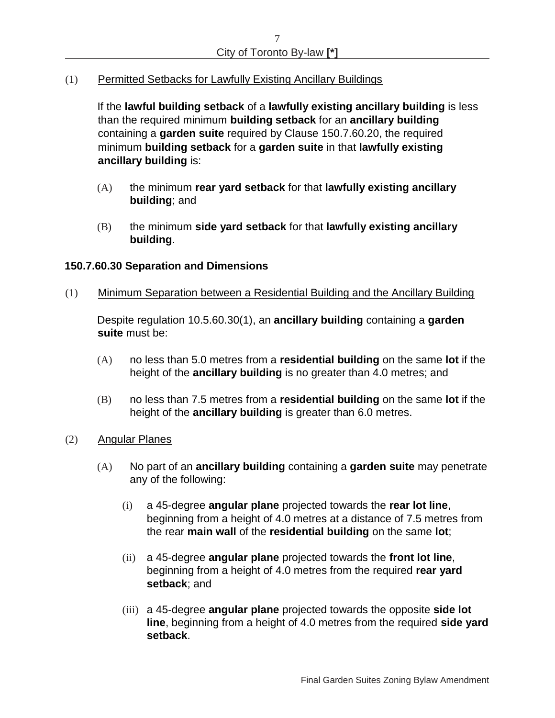(1) Permitted Setbacks for Lawfully Existing Ancillary Buildings

If the **lawful building setback** of a **lawfully existing ancillary building** is less than the required minimum **building setback** for an **ancillary building** containing a **garden suite** required by Clause 150.7.60.20, the required minimum **building setback** for a **garden suite** in that **lawfully existing ancillary building** is:

- (A) the minimum **rear yard setback** for that **lawfully existing ancillary building**; and
- (B) the minimum **side yard setback** for that **lawfully existing ancillary building**.

### **150.7.60.30 Separation and Dimensions**

<span id="page-6-2"></span>(1) Minimum Separation between a Residential Building and the Ancillary Building

Despite regulation 10.5.60.30(1), an **ancillary building** containing a **garden suite** must be:

- (A) no less than 5.0 metres from a **residential building** on the same **lot** if the height of the **ancillary building** is no greater than 4.0 metres; and
- (B) no less than 7.5 metres from a **residential building** on the same **lot** if the height of the **ancillary building** is greater than 6.0 metres.
- <span id="page-6-1"></span><span id="page-6-0"></span>(2) Angular Planes
	- (A) No part of an **ancillary building** containing a **garden suite** may penetrate any of the following:
		- (i) a 45-degree **angular plane** projected towards the **rear lot line**, beginning from a height of 4.0 metres at a distance of 7.5 metres from the rear **main wall** of the **residential building** on the same **lot**;
		- (ii) a 45-degree **angular plane** projected towards the **front lot line**, beginning from a height of 4.0 metres from the required **rear yard setback**; and
		- (iii) a 45-degree **angular plane** projected towards the opposite **side lot line**, beginning from a height of 4.0 metres from the required **side yard setback**.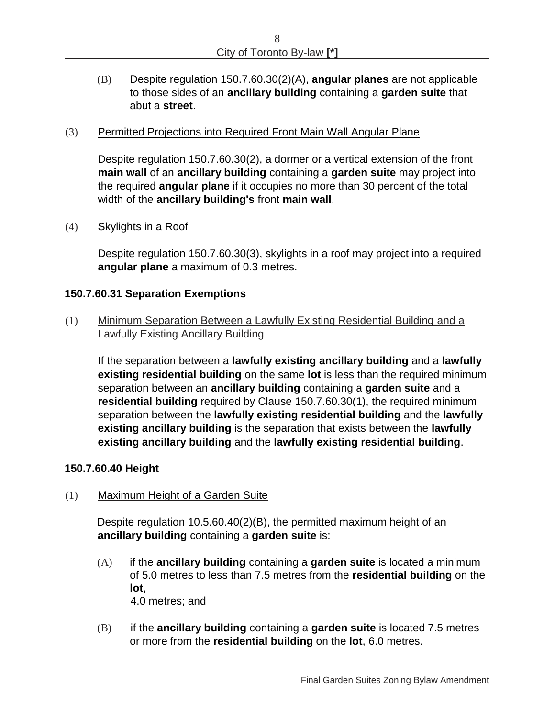(B) Despite regulation 150.7.60.3[0\(2\)](#page-6-0)[\(A\),](#page-6-1) **angular planes** are not applicable to those sides of an **ancillary building** containing a **garden suite** that abut a **street**.

### <span id="page-7-0"></span>(3) Permitted Projections into Required Front Main Wall Angular Plane

Despite regulation 150.7.60.3[0\(2\),](#page-6-0) a dormer or a vertical extension of the front **main wall** of an **ancillary building** containing a **garden suite** may project into the required **angular plane** if it occupies no more than 30 percent of the total width of the **ancillary building's** front **main wall**.

### (4) Skylights in a Roof

Despite regulation 150.7.60.3[0\(3\),](#page-7-0) skylights in a roof may project into a required **angular plane** a maximum of 0.3 metres.

### **150.7.60.31 Separation Exemptions**

(1) Minimum Separation Between a Lawfully Existing Residential Building and a Lawfully Existing Ancillary Building

If the separation between a **lawfully existing ancillary building** and a **lawfully existing residential building** on the same **lot** is less than the required minimum separation between an **ancillary building** containing a **garden suite** and a **residential building** required by Clause 150.7.60.30(1), the required minimum separation between the **lawfully existing residential building** and the **lawfully existing ancillary building** is the separation that exists between the **lawfully existing ancillary building** and the **lawfully existing residential building**.

#### **150.7.60.40 Height**

#### (1) Maximum Height of a Garden Suite

Despite regulation 10.5.60.40(2)(B), the permitted maximum height of an **ancillary building** containing a **garden suite** is:

(A) if the **ancillary building** containing a **garden suite** is located a minimum of 5.0 metres to less than 7.5 metres from the **residential building** on the **lot**, 4.0 metres; and

(B) if the **ancillary building** containing a **garden suite** is located 7.5 metres or more from the **residential building** on the **lot**, 6.0 metres.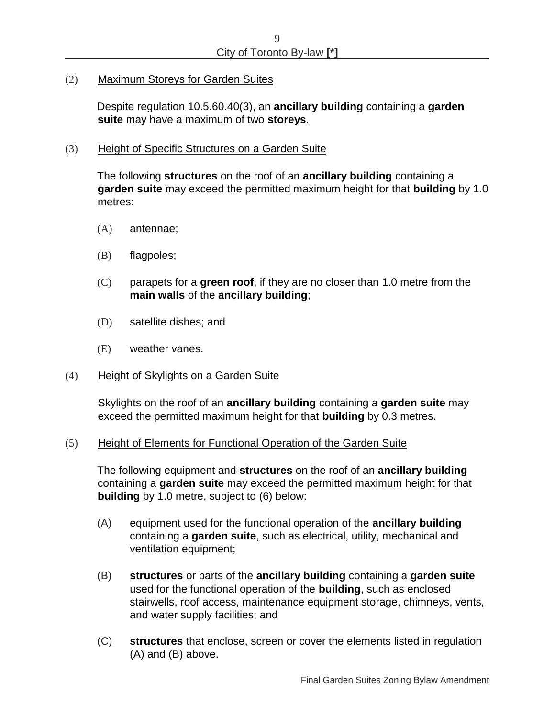(2) Maximum Storeys for Garden Suites

Despite regulation 10.5.60.40(3), an **ancillary building** containing a **garden suite** may have a maximum of two **storeys**.

(3) Height of Specific Structures on a Garden Suite

The following **structures** on the roof of an **ancillary building** containing a **garden suite** may exceed the permitted maximum height for that **building** by 1.0 metres:

- (A) antennae;
- (B) flagpoles;
- (C) parapets for a **green roof**, if they are no closer than 1.0 metre from the **main walls** of the **ancillary building**;
- (D) satellite dishes; and
- (E) weather vanes.
- (4) Height of Skylights on a Garden Suite

Skylights on the roof of an **ancillary building** containing a **garden suite** may exceed the permitted maximum height for that **building** by 0.3 metres.

#### <span id="page-8-0"></span>(5) Height of Elements for Functional Operation of the Garden Suite

The following equipment and **structures** on the roof of an **ancillary building** containing a **garden suite** may exceed the permitted maximum height for that **building** by 1.0 metre, subject to [\(6\)](#page-9-0) below:

- (A) equipment used for the functional operation of the **ancillary building**  containing a **garden suite**, such as electrical, utility, mechanical and ventilation equipment;
- (B) **structures** or parts of the **ancillary building** containing a **garden suite** used for the functional operation of the **building**, such as enclosed stairwells, roof access, maintenance equipment storage, chimneys, vents, and water supply facilities; and
- (C) **structures** that enclose, screen or cover the elements listed in regulation (A) and (B) above.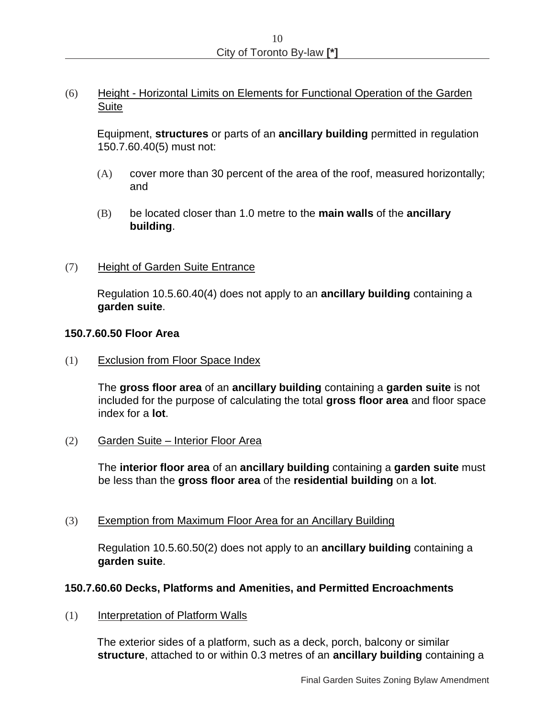# <span id="page-9-0"></span>(6) Height - Horizontal Limits on Elements for Functional Operation of the Garden **Suite**

Equipment, **structures** or parts of an **ancillary building** permitted in regulation 150.7.60.4[0\(5\)](#page-8-0) must not:

- (A) cover more than 30 percent of the area of the roof, measured horizontally; and
- (B) be located closer than 1.0 metre to the **main walls** of the **ancillary building**.
- (7) Height of Garden Suite Entrance

Regulation 10.5.60.40(4) does not apply to an **ancillary building** containing a **garden suite**.

### **150.7.60.50 Floor Area**

(1) Exclusion from Floor Space Index

The **gross floor area** of an **ancillary building** containing a **garden suite** is not included for the purpose of calculating the total **gross floor area** and floor space index for a **lot**.

(2) Garden Suite – Interior Floor Area

The **interior floor area** of an **ancillary building** containing a **garden suite** must be less than the **gross floor area** of the **residential building** on a **lot**.

(3) Exemption from Maximum Floor Area for an Ancillary Building

Regulation 10.5.60.50(2) does not apply to an **ancillary building** containing a **garden suite**.

### **150.7.60.60 Decks, Platforms and Amenities, and Permitted Encroachments**

<span id="page-9-1"></span>(1) Interpretation of Platform Walls

The exterior sides of a platform, such as a deck, porch, balcony or similar **structure**, attached to or within 0.3 metres of an **ancillary building** containing a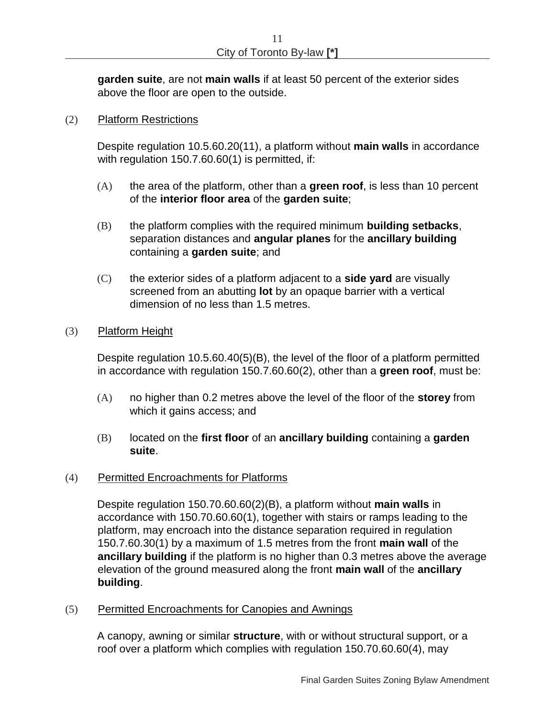**garden suite**, are not **main walls** if at least 50 percent of the exterior sides above the floor are open to the outside.

### <span id="page-10-0"></span>(2) Platform Restrictions

Despite regulation 10.5.60.20(11), a platform without **main walls** in accordance with regulation 150.7.60.6[0\(1\)](#page-9-1) is permitted, if:

- (A) the area of the platform, other than a **green roof**, is less than 10 percent of the **interior floor area** of the **garden suite**;
- <span id="page-10-1"></span>(B) the platform complies with the required minimum **building setbacks**, separation distances and **angular planes** for the **ancillary building** containing a **garden suite**; and
- (C) the exterior sides of a platform adjacent to a **side yard** are visually screened from an abutting **lot** by an opaque barrier with a vertical dimension of no less than 1.5 metres.

### (3) Platform Height

Despite regulation 10.5.60.40(5)(B), the level of the floor of a platform permitted in accordance with regulation 150.7.60.6[0\(2\),](#page-10-0) other than a **green roof**, must be:

- (A) no higher than 0.2 metres above the level of the floor of the **storey** from which it gains access; and
- (B) located on the **first floor** of an **ancillary building** containing a **garden suite**.

### <span id="page-10-2"></span>(4) Permitted Encroachments for Platforms

Despite regulation 150.70.60.6[0\(2\)](#page-10-0)[\(B\),](#page-10-1) a platform without **main walls** in accordance with 150.70.60.6[0\(1\),](#page-9-1) together with stairs or ramps leading to the platform, may encroach into the distance separation required in regulation 150.7.60.3[0\(1\)](#page-6-2) by a maximum of 1.5 metres from the front **main wall** of the **ancillary building** if the platform is no higher than 0.3 metres above the average elevation of the ground measured along the front **main wall** of the **ancillary building**.

(5) Permitted Encroachments for Canopies and Awnings

A canopy, awning or similar **structure**, with or without structural support, or a roof over a platform which complies with regulation 150.70.60.6[0\(4\),](#page-10-2) may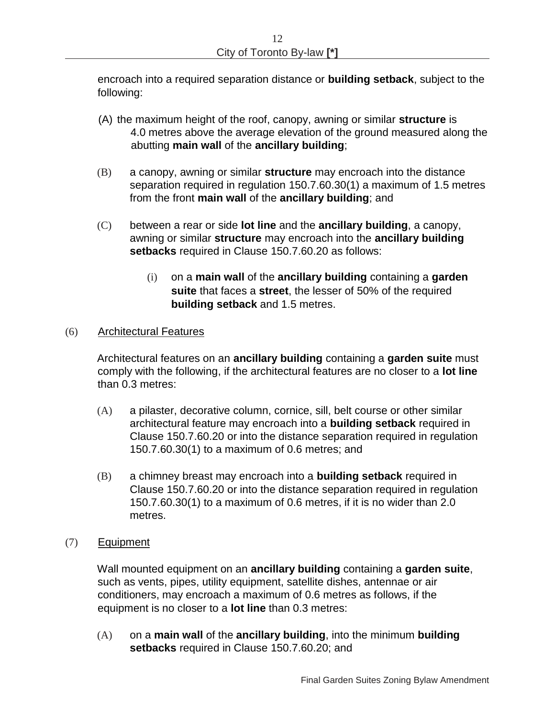encroach into a required separation distance or **building setback**, subject to the following:

- (A) the maximum height of the roof, canopy, awning or similar **structure** is 4.0 metres above the average elevation of the ground measured along the abutting **main wall** of the **ancillary building**;
- (B) a canopy, awning or similar **structure** may encroach into the distance separation required in regulation 150.7.60.3[0\(1\)](#page-6-2) a maximum of 1.5 metres from the front **main wall** of the **ancillary building**; and
- (C) between a rear or side **lot line** and the **ancillary building**, a canopy, awning or similar **structure** may encroach into the **ancillary building setbacks** required in Clause 150.7.60.20 as follows:
	- (i) on a **main wall** of the **ancillary building** containing a **garden suite** that faces a **street**, the lesser of 50% of the required **building setback** and 1.5 metres.

### (6) Architectural Features

Architectural features on an **ancillary building** containing a **garden suite** must comply with the following, if the architectural features are no closer to a **lot line** than 0.3 metres:

- (A) a pilaster, decorative column, cornice, sill, belt course or other similar architectural feature may encroach into a **building setback** required in Clause 150.7.60.20 or into the distance separation required in regulation 150.7.60.3[0\(1\)](#page-6-2) to a maximum of 0.6 metres; and
- (B) a chimney breast may encroach into a **building setback** required in Clause 150.7.60.20 or into the distance separation required in regulation 150.7.60.3[0\(1\)](#page-6-2) to a maximum of 0.6 metres, if it is no wider than 2.0 metres.
- (7) Equipment

Wall mounted equipment on an **ancillary building** containing a **garden suite**, such as vents, pipes, utility equipment, satellite dishes, antennae or air conditioners, may encroach a maximum of 0.6 metres as follows, if the equipment is no closer to a **lot line** than 0.3 metres:

(A) on a **main wall** of the **ancillary building**, into the minimum **building setbacks** required in Clause 150.7.60.20; and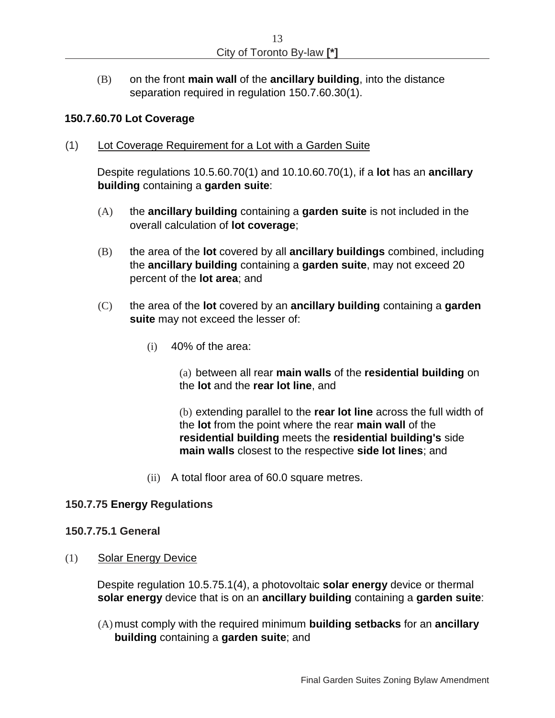(B) on the front **main wall** of the **ancillary building**, into the distance separation required in regulation 150.7.60.3[0\(1\).](#page-6-2)

#### **150.7.60.70 Lot Coverage**

(1) Lot Coverage Requirement for a Lot with a Garden Suite

Despite regulations 10.5.60.70(1) and 10.10.60.70(1), if a **lot** has an **ancillary building** containing a **garden suite**:

- (A) the **ancillary building** containing a **garden suite** is not included in the overall calculation of **lot coverage**;
- (B) the area of the **lot** covered by all **ancillary buildings** combined, including the **ancillary building** containing a **garden suite**, may not exceed 20 percent of the **lot area**; and
- (C) the area of the **lot** covered by an **ancillary building** containing a **garden suite** may not exceed the lesser of:
	- (i) 40% of the area:

(a) between all rear **main walls** of the **residential building** on the **lot** and the **rear lot line**, and

(b) extending parallel to the **rear lot line** across the full width of the **lot** from the point where the rear **main wall** of the **residential building** meets the **residential building's** side **main walls** closest to the respective **side lot lines**; and

(ii) A total floor area of 60.0 square metres.

### **150.7.75 Energy Regulations**

#### **150.7.75.1 General**

(1) Solar Energy Device

Despite regulation 10.5.75.1(4), a photovoltaic **solar energy** device or thermal **solar energy** device that is on an **ancillary building** containing a **garden suite**:

(A) must comply with the required minimum **building setbacks** for an **ancillary building** containing a **garden suite**; and